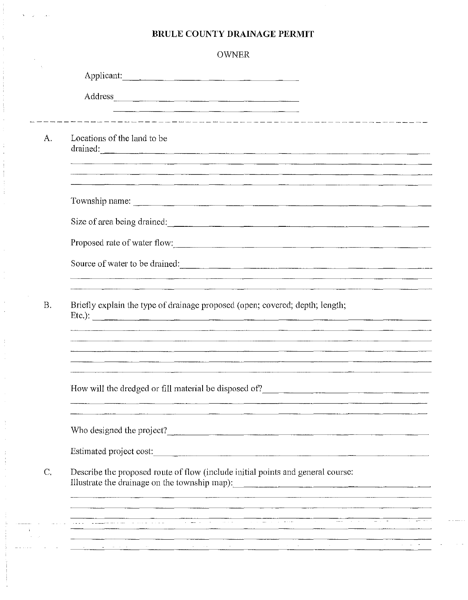## **BRULE COUNTY DRAINAGE PERMIT**

| <b>OWNER</b>                                                                                                                                                                                                                               |
|--------------------------------------------------------------------------------------------------------------------------------------------------------------------------------------------------------------------------------------------|
| Applicant:                                                                                                                                                                                                                                 |
| Address experience and the contract of the contract of the contract of the contract of the contract of the contract of the contract of the contract of the contract of the contract of the contract of the contract of the con             |
|                                                                                                                                                                                                                                            |
| Locations of the land to be<br>drained:                                                                                                                                                                                                    |
| <u>, a comparative description de la comparativa de la comparativa de la comparativa de la comparativa de la comp</u>                                                                                                                      |
| Township name:                                                                                                                                                                                                                             |
| Size of area being drained:                                                                                                                                                                                                                |
| Proposed rate of water flow:                                                                                                                                                                                                               |
| Source of water to be drained:                                                                                                                                                                                                             |
| Briefly explain the type of drainage proposed (open; covered; depth; length;<br>Etc.): $\qquad \qquad$<br><u> 1980 - Jacques Jacques II, primeiro de la contrada de la contrada de la contrada de la contrada de la contrad</u>            |
| How will the dredged or fill material be disposed of?<br>The material state of the material state of the material state of the material state of the material state of the material state of the material state of the material            |
| Who designed the project?                                                                                                                                                                                                                  |
| Estimated project cost:                                                                                                                                                                                                                    |
| Describe the proposed route of flow (include initial points and general course:                                                                                                                                                            |
|                                                                                                                                                                                                                                            |
| a <del>da basa da manga sa tanggal sa kaliman sa tanggal sa mangal sa mangal sa mangal sa mangal sa karang sa sa sa</del><br>Ing pining mangal sa mangal sa nagal sa mangal sa mangal sa mangal sa mangal sa mangal sa mangal sa mangal sa |
|                                                                                                                                                                                                                                            |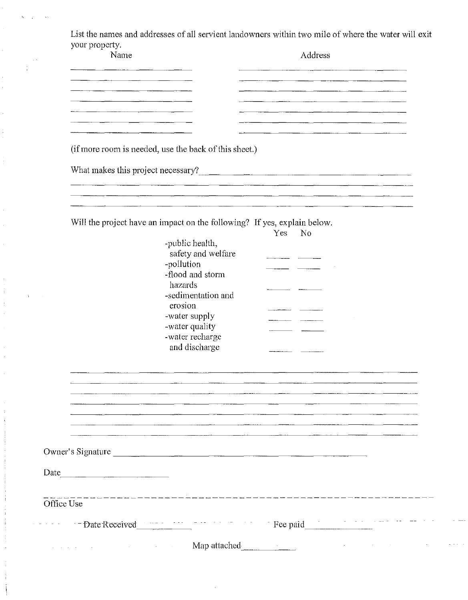List the names and addresses of all servient landowners within two mile of where the water will exit your property.

 $\hat{\mathbf{r}}$  $\bar{\omega}_0$ 

 $\frac{1}{4}$ 

 $\sim 300$  km s  $^{-1}$ 

Ť. ł,

 $\hat{\mathbf{r}}$ 

 $\label{eq:2.1} \begin{aligned} \mathcal{L}_{\mathcal{A}}(\mathcal{A}) & = \mathcal{L}_{\mathcal{A}}(\mathcal{A}) + \mathcal{L}_{\mathcal{A}}(\mathcal{A}) + \mathcal{L}_{\mathcal{A}}(\mathcal{A}) + \mathcal{L}_{\mathcal{A}}(\mathcal{A}) \end{aligned}$ 

 $\ddot{\phantom{0}}$ 

 $\ddot{\phantom{0}}$ 

| Name       |                                                                          | Address                            |
|------------|--------------------------------------------------------------------------|------------------------------------|
|            |                                                                          |                                    |
|            |                                                                          |                                    |
|            |                                                                          |                                    |
|            |                                                                          |                                    |
|            | (if more room is needed, use the back of this sheet.)                    |                                    |
|            |                                                                          | What makes this project necessary? |
|            |                                                                          |                                    |
|            |                                                                          |                                    |
|            | Will the project have an impact on the following? If yes, explain below. |                                    |
|            |                                                                          | Yes<br>No                          |
|            | -public health,                                                          |                                    |
|            | safety and welfare<br>-pollution                                         |                                    |
|            | -flood and storm                                                         |                                    |
|            | hazards                                                                  |                                    |
|            | -sedimentation and                                                       |                                    |
|            | erosion                                                                  |                                    |
|            | -water supply                                                            |                                    |
|            | -water quality                                                           |                                    |
|            | -water recharge                                                          |                                    |
|            | and discharge                                                            |                                    |
|            |                                                                          |                                    |
|            |                                                                          |                                    |
|            |                                                                          |                                    |
|            |                                                                          |                                    |
|            |                                                                          |                                    |
|            |                                                                          |                                    |
|            |                                                                          |                                    |
|            |                                                                          |                                    |
|            | Owner's Signature                                                        |                                    |
|            |                                                                          |                                    |
|            |                                                                          |                                    |
|            |                                                                          |                                    |
| Office Use |                                                                          |                                    |
|            |                                                                          |                                    |
|            |                                                                          |                                    |
|            |                                                                          |                                    |

 $\mathbb{Z} \times \mathbb{Z} \rightarrow \mathbb{Z}$